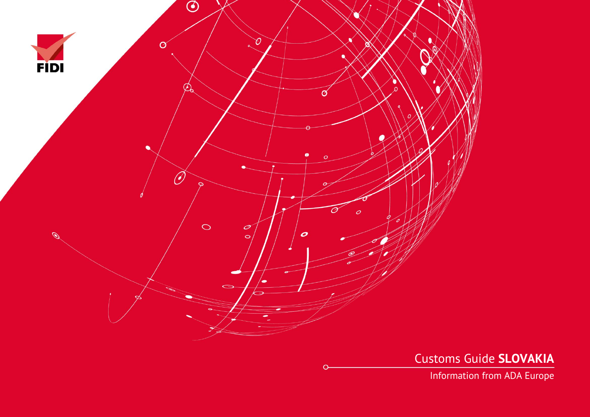

Customs Guide **SLOVAKIA**

Information from ADA Europe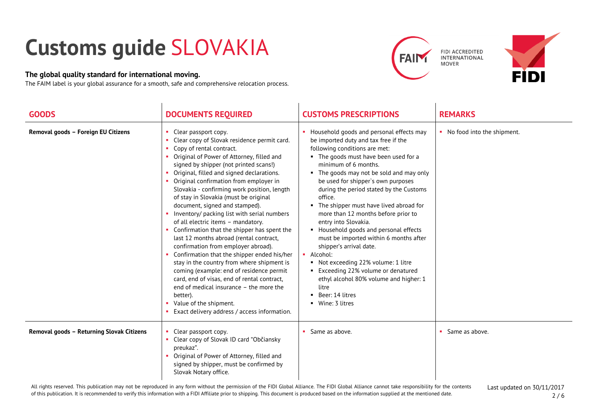## **Customs guide** SLOVAKIA

## **The global quality standard for international moving.**

The FAIM label is your global assurance for a smooth, safe and comprehensive relocation process.





| <b>GOODS</b>                              | <b>DOCUMENTS REQUIRED</b>                                                                                                                                                                                                                                                                                                                                                                                                                                                                                                                                                                                                                                                                                                                                                                                                                                                                                                                                | <b>CUSTOMS PRESCRIPTIONS</b>                                                                                                                                                                                                                                                                                                                                                                                                                                                                                                                                                                                                                                                                                                             | <b>REMARKS</b>               |
|-------------------------------------------|----------------------------------------------------------------------------------------------------------------------------------------------------------------------------------------------------------------------------------------------------------------------------------------------------------------------------------------------------------------------------------------------------------------------------------------------------------------------------------------------------------------------------------------------------------------------------------------------------------------------------------------------------------------------------------------------------------------------------------------------------------------------------------------------------------------------------------------------------------------------------------------------------------------------------------------------------------|------------------------------------------------------------------------------------------------------------------------------------------------------------------------------------------------------------------------------------------------------------------------------------------------------------------------------------------------------------------------------------------------------------------------------------------------------------------------------------------------------------------------------------------------------------------------------------------------------------------------------------------------------------------------------------------------------------------------------------------|------------------------------|
| Removal goods - Foreign EU Citizens       | Clear passport copy.<br>Clear copy of Slovak residence permit card.<br>Copy of rental contract.<br>• Original of Power of Attorney, filled and<br>signed by shipper (not printed scans!)<br>Original, filled and signed declarations.<br>Original confirmation from employer in<br>Slovakia - confirming work position, length<br>of stay in Slovakia (must be original<br>document, signed and stamped).<br>Inventory/ packing list with serial numbers<br>of all electric items - mandatory.<br>Confirmation that the shipper has spent the<br>last 12 months abroad (rental contract,<br>confirmation from employer abroad).<br>Confirmation that the shipper ended his/her<br>stay in the country from where shipment is<br>coming (example: end of residence permit<br>card, end of visas, end of rental contract,<br>end of medical insurance - the more the<br>better).<br>Value of the shipment.<br>Exact delivery address / access information. | Household goods and personal effects may<br>be imported duty and tax free if the<br>following conditions are met:<br>• The goods must have been used for a<br>minimum of 6 months.<br>• The goods may not be sold and may only<br>be used for shipper's own purposes<br>during the period stated by the Customs<br>office.<br>• The shipper must have lived abroad for<br>more than 12 months before prior to<br>entry into Slovakia.<br>• Household goods and personal effects<br>must be imported within 6 months after<br>shipper's arrival date.<br>• Alcohol:<br>Not exceeding 22% volume: 1 litre<br>■ Exceeding 22% volume or denatured<br>ethyl alcohol 80% volume and higher: 1<br>litre<br>Beer: 14 litres<br>• Wine: 3 litres | • No food into the shipment. |
| Removal goods - Returning Slovak Citizens | Clear passport copy.<br>Clear copy of Slovak ID card "Občiansky<br>preukaz".<br>Original of Power of Attorney, filled and<br>signed by shipper, must be confirmed by<br>Slovak Notary office.                                                                                                                                                                                                                                                                                                                                                                                                                                                                                                                                                                                                                                                                                                                                                            | Same as above.                                                                                                                                                                                                                                                                                                                                                                                                                                                                                                                                                                                                                                                                                                                           | Same as above.               |

Last updated on 30/11/2017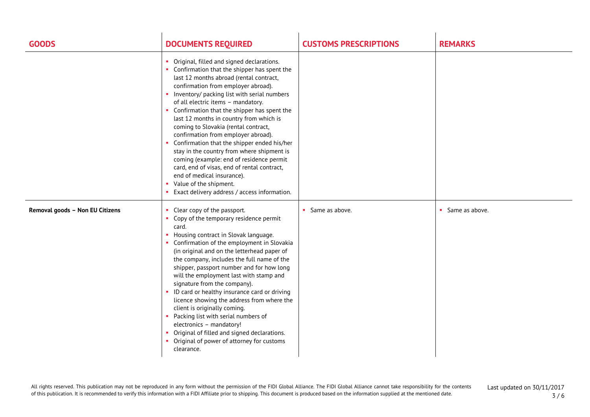| <b>GOODS</b>                    | <b>DOCUMENTS REQUIRED</b>                                                                                                                                                                                                                                                                                                                                                                                                                                                                                                                                                                                                                                                                                                                      | <b>CUSTOMS PRESCRIPTIONS</b> | <b>REMARKS</b>   |
|---------------------------------|------------------------------------------------------------------------------------------------------------------------------------------------------------------------------------------------------------------------------------------------------------------------------------------------------------------------------------------------------------------------------------------------------------------------------------------------------------------------------------------------------------------------------------------------------------------------------------------------------------------------------------------------------------------------------------------------------------------------------------------------|------------------------------|------------------|
|                                 | Original, filled and signed declarations.<br>Confirmation that the shipper has spent the<br>last 12 months abroad (rental contract,<br>confirmation from employer abroad).<br>• Inventory/ packing list with serial numbers<br>of all electric items - mandatory.<br>• Confirmation that the shipper has spent the<br>last 12 months in country from which is<br>coming to Slovakia (rental contract,<br>confirmation from employer abroad).<br>• Confirmation that the shipper ended his/her<br>stay in the country from where shipment is<br>coming (example: end of residence permit<br>card, end of visas, end of rental contract,<br>end of medical insurance).<br>Value of the shipment.<br>Exact delivery address / access information. |                              |                  |
| Removal goods - Non EU Citizens | Clear copy of the passport.<br>Copy of the temporary residence permit<br>card.<br>• Housing contract in Slovak language.<br>• Confirmation of the employment in Slovakia<br>(in original and on the letterhead paper of<br>the company, includes the full name of the<br>shipper, passport number and for how long<br>will the employment last with stamp and<br>signature from the company).<br>• ID card or healthy insurance card or driving<br>licence showing the address from where the<br>client is originally coming.<br>• Packing list with serial numbers of<br>electronics - mandatory!<br>• Original of filled and signed declarations.<br>• Original of power of attorney for customs<br>clearance.                               | • Same as above.             | • Same as above. |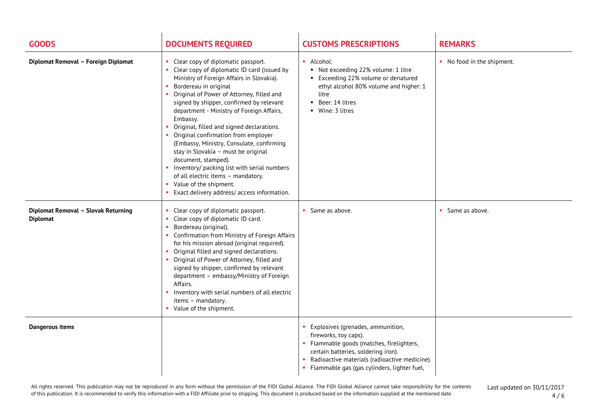| <b>GOODS</b>                                           | <b>DOCUMENTS REQUIRED</b>                                                                                                                                                                                                                                                                                                                                                                                                                                                                                                                                                                                                                                                 | <b>CUSTOMS PRESCRIPTIONS</b>                                                                                                                                                                                                                   | <b>REMARKS</b>             |
|--------------------------------------------------------|---------------------------------------------------------------------------------------------------------------------------------------------------------------------------------------------------------------------------------------------------------------------------------------------------------------------------------------------------------------------------------------------------------------------------------------------------------------------------------------------------------------------------------------------------------------------------------------------------------------------------------------------------------------------------|------------------------------------------------------------------------------------------------------------------------------------------------------------------------------------------------------------------------------------------------|----------------------------|
| Diplomat Removal - Foreign Diplomat                    | Clear copy of diplomatic passport.<br>Clear copy of diplomatic ID card (issued by<br>Ministry of Foreign Affairs in Slovakia).<br>Bordereau in original<br>Original of Power of Attorney, filled and<br>signed by shipper, confirmed by relevant<br>department - Ministry of Foreign Affairs,<br>Embassy.<br>Original, filled and signed declarations.<br>Original confirmation from employer<br>(Embassy, Ministry, Consulate, confirming<br>stay in Slovakia - must be original<br>document, stamped).<br>• Inventory/ packing list with serial numbers<br>of all electric items - mandatory.<br>• Value of the shipment.<br>Exact delivery address/access information. | • Alcohol:<br>Not exceeding 22% volume: 1 litre<br>■ Exceeding 22% volume or denatured<br>ethyl alcohol 80% volume and higher: 1<br>litre<br>Beer: 14 litres<br>■ Wine: 3 litres                                                               | • No food in the shipment. |
| Diplomat Removal - Slovak Returning<br><b>Diplomat</b> | Clear copy of diplomatic passport.<br>Clear copy of diplomatic ID card.<br>Bordereau (original).<br>• Confirmation from Ministry of Foreign Affairs<br>for his mission abroad (original required).<br>Original filled and signed declarations.<br>Original of Power of Attorney, filled and<br>signed by shipper, confirmed by relevant<br>department - embassy/Ministry of Foreign<br>Affairs.<br>Inventory with serial numbers of all electric<br>items - mandatory.<br>• Value of the shipment.                                                                                                                                                                        | Same as above.                                                                                                                                                                                                                                 | • Same as above.           |
| <b>Dangerous items</b>                                 |                                                                                                                                                                                                                                                                                                                                                                                                                                                                                                                                                                                                                                                                           | Explosives (grenades, ammunition,<br>fireworks, toy caps).<br>• Flammable goods (matches, firelighters,<br>certain batteries, soldering iron).<br>Radioactive materials (radioactive medicine).<br>Flammable gas (gas cylinders, lighter fuel, |                            |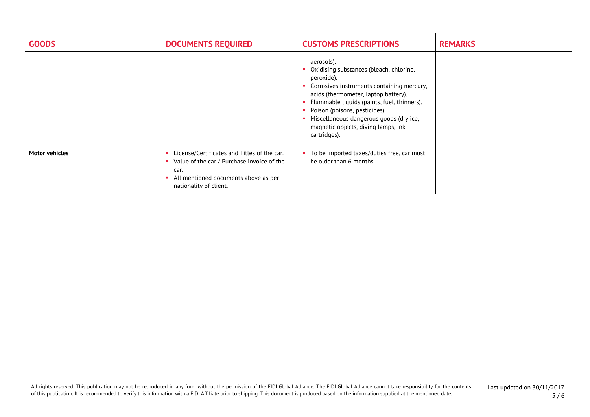| <b>GOODS</b>          | <b>DOCUMENTS REQUIRED</b>                                                                                                                                           | <b>CUSTOMS PRESCRIPTIONS</b>                                                                                                                                                                                                                                                                                                                | <b>REMARKS</b> |
|-----------------------|---------------------------------------------------------------------------------------------------------------------------------------------------------------------|---------------------------------------------------------------------------------------------------------------------------------------------------------------------------------------------------------------------------------------------------------------------------------------------------------------------------------------------|----------------|
|                       |                                                                                                                                                                     | aerosols).<br>Oxidising substances (bleach, chlorine,<br>peroxide).<br>Corrosives instruments containing mercury,<br>acids (thermometer, laptop battery).<br>Flammable liquids (paints, fuel, thinners).<br>Poison (poisons, pesticides).<br>Miscellaneous dangerous goods (dry ice,<br>magnetic objects, diving lamps, ink<br>cartridges). |                |
| <b>Motor vehicles</b> | License/Certificates and Titles of the car.<br>Value of the car / Purchase invoice of the<br>car.<br>All mentioned documents above as per<br>nationality of client. | To be imported taxes/duties free, car must<br>be older than 6 months.                                                                                                                                                                                                                                                                       |                |